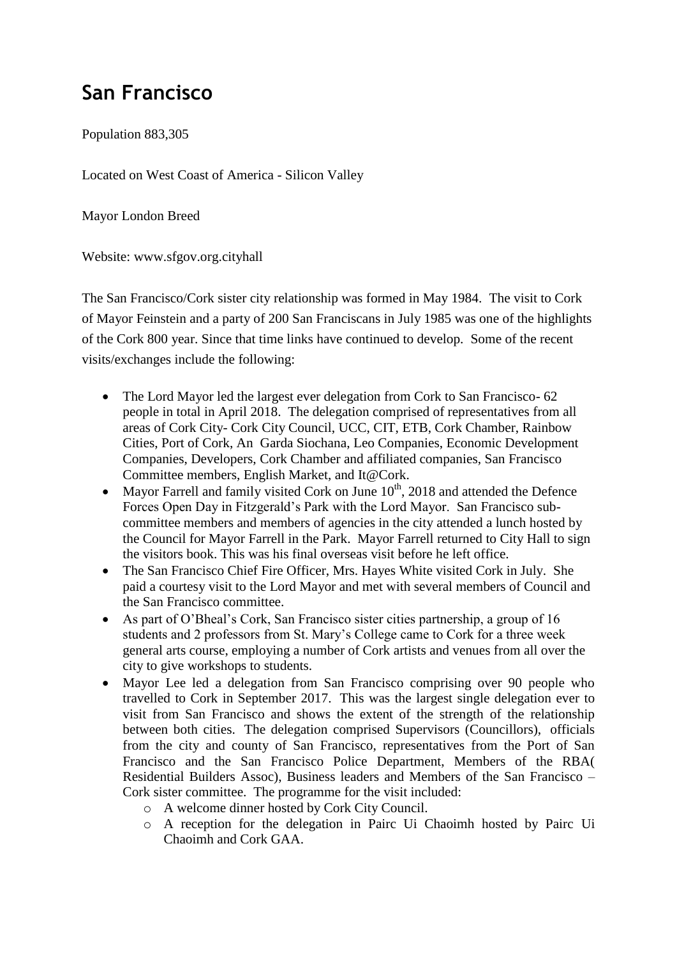## **San Francisco**

Population 883,305

Located on West Coast of America - Silicon Valley

Mayor London Breed

Website: [www.sfgov.org.cityhall](http://www.sfgov.org.cityhall/)

The San Francisco/Cork sister city relationship was formed in May 1984. The visit to Cork of Mayor Feinstein and a party of 200 San Franciscans in July 1985 was one of the highlights of the Cork 800 year. Since that time links have continued to develop. Some of the recent visits/exchanges include the following:

- The Lord Mayor led the largest ever delegation from Cork to San Francisco- 62 people in total in April 2018. The delegation comprised of representatives from all areas of Cork City- Cork City Council, UCC, CIT, ETB, Cork Chamber, Rainbow Cities, Port of Cork, An Garda Siochana, Leo Companies, Economic Development Companies, Developers, Cork Chamber and affiliated companies, San Francisco Committee members, English Market, and It@Cork.
- Mayor Farrell and family visited Cork on June  $10^{th}$ , 2018 and attended the Defence Forces Open Day in Fitzgerald's Park with the Lord Mayor. San Francisco subcommittee members and members of agencies in the city attended a lunch hosted by the Council for Mayor Farrell in the Park. Mayor Farrell returned to City Hall to sign the visitors book. This was his final overseas visit before he left office.
- The San Francisco Chief Fire Officer, Mrs. Hayes White visited Cork in July. She paid a courtesy visit to the Lord Mayor and met with several members of Council and the San Francisco committee.
- As part of O'Bheal's Cork, San Francisco sister cities partnership, a group of 16 students and 2 professors from St. Mary's College came to Cork for a three week general arts course, employing a number of Cork artists and venues from all over the city to give workshops to students.
- Mayor Lee led a delegation from San Francisco comprising over 90 people who travelled to Cork in September 2017. This was the largest single delegation ever to visit from San Francisco and shows the extent of the strength of the relationship between both cities. The delegation comprised Supervisors (Councillors), officials from the city and county of San Francisco, representatives from the Port of San Francisco and the San Francisco Police Department, Members of the RBA( Residential Builders Assoc), Business leaders and Members of the San Francisco – Cork sister committee. The programme for the visit included:
	- o A welcome dinner hosted by Cork City Council.
	- o A reception for the delegation in Pairc Ui Chaoimh hosted by Pairc Ui Chaoimh and Cork GAA.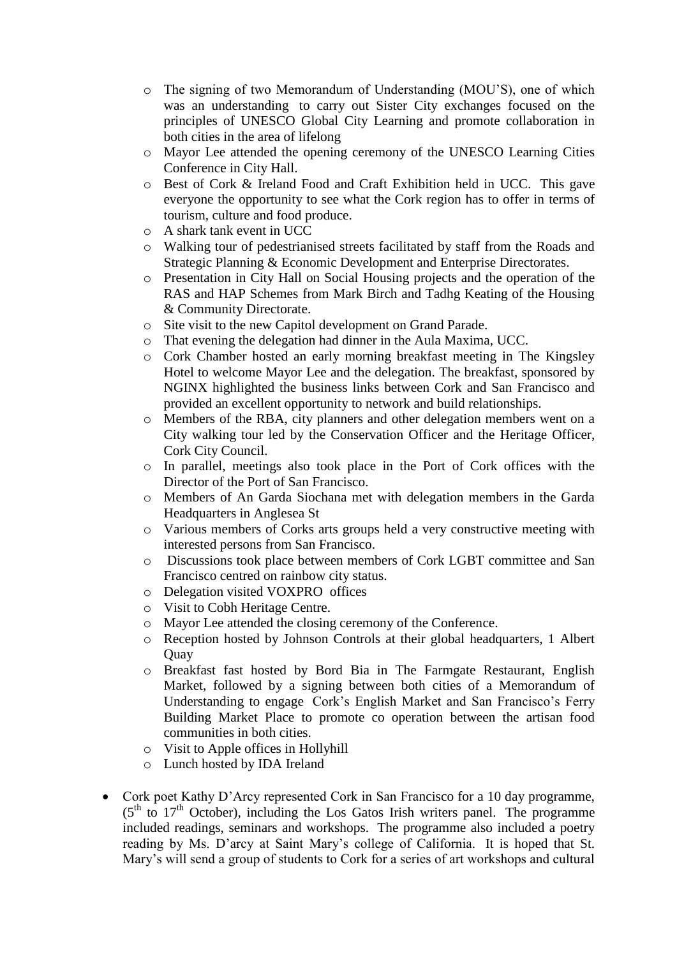- o The signing of two Memorandum of Understanding (MOU'S), one of which was an understanding to carry out Sister City exchanges focused on the principles of UNESCO Global City Learning and promote collaboration in both cities in the area of lifelong
- o Mayor Lee attended the opening ceremony of the UNESCO Learning Cities Conference in City Hall.
- o Best of Cork & Ireland Food and Craft Exhibition held in UCC. This gave everyone the opportunity to see what the Cork region has to offer in terms of tourism, culture and food produce.
- o A shark tank event in UCC
- o Walking tour of pedestrianised streets facilitated by staff from the Roads and Strategic Planning & Economic Development and Enterprise Directorates.
- o Presentation in City Hall on Social Housing projects and the operation of the RAS and HAP Schemes from Mark Birch and Tadhg Keating of the Housing & Community Directorate.
- o Site visit to the new Capitol development on Grand Parade.
- o That evening the delegation had dinner in the Aula Maxima, UCC.
- o Cork Chamber hosted an early morning breakfast meeting in The Kingsley Hotel to welcome Mayor Lee and the delegation. The breakfast, sponsored by NGINX highlighted the business links between Cork and San Francisco and provided an excellent opportunity to network and build relationships.
- o Members of the RBA, city planners and other delegation members went on a City walking tour led by the Conservation Officer and the Heritage Officer, Cork City Council.
- o In parallel, meetings also took place in the Port of Cork offices with the Director of the Port of San Francisco.
- o Members of An Garda Siochana met with delegation members in the Garda Headquarters in Anglesea St
- o Various members of Corks arts groups held a very constructive meeting with interested persons from San Francisco.
- o Discussions took place between members of Cork LGBT committee and San Francisco centred on rainbow city status.
- o Delegation visited VOXPRO offices
- o Visit to Cobh Heritage Centre.
- o Mayor Lee attended the closing ceremony of the Conference.
- o Reception hosted by Johnson Controls at their global headquarters, 1 Albert **Ouav**
- o Breakfast fast hosted by Bord Bia in The Farmgate Restaurant, English Market, followed by a signing between both cities of a Memorandum of Understanding to engage Cork's English Market and San Francisco's Ferry Building Market Place to promote co operation between the artisan food communities in both cities.
- o Visit to Apple offices in Hollyhill
- o Lunch hosted by IDA Ireland
- Cork poet Kathy D'Arcy represented Cork in San Francisco for a 10 day programme,  $(5<sup>th</sup>$  to  $17<sup>th</sup>$  October), including the Los Gatos Irish writers panel. The programme included readings, seminars and workshops. The programme also included a poetry reading by Ms. D'arcy at Saint Mary's college of California. It is hoped that St. Mary's will send a group of students to Cork for a series of art workshops and cultural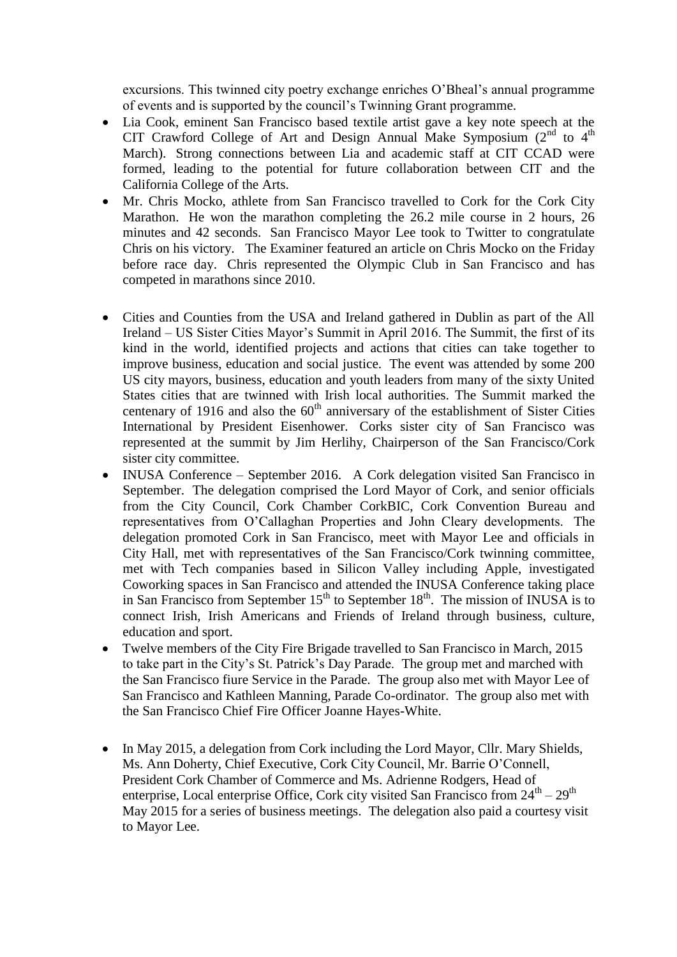excursions. This twinned city poetry exchange enriches O'Bheal's annual programme of events and is supported by the council's Twinning Grant programme.

- Lia Cook, eminent San Francisco based textile artist gave a key note speech at the CIT Crawford College of Art and Design Annual Make Symposium  $(2^{nd}$  to  $4^{th}$ March). Strong connections between Lia and academic staff at CIT CCAD were formed, leading to the potential for future collaboration between CIT and the California College of the Arts.
- Mr. Chris Mocko, athlete from San Francisco travelled to Cork for the Cork City Marathon. He won the marathon completing the 26.2 mile course in 2 hours, 26 minutes and 42 seconds. San Francisco Mayor Lee took to Twitter to congratulate Chris on his victory. The Examiner featured an article on Chris Mocko on the Friday before race day. Chris represented the Olympic Club in San Francisco and has competed in marathons since 2010.
- Cities and Counties from the USA and Ireland gathered in Dublin as part of the All Ireland – US Sister Cities Mayor's Summit in April 2016. The Summit, the first of its kind in the world, identified projects and actions that cities can take together to improve business, education and social justice. The event was attended by some 200 US city mayors, business, education and youth leaders from many of the sixty United States cities that are twinned with Irish local authorities. The Summit marked the centenary of 1916 and also the  $60<sup>th</sup>$  anniversary of the establishment of Sister Cities International by President Eisenhower. Corks sister city of San Francisco was represented at the summit by Jim Herlihy, Chairperson of the San Francisco/Cork sister city committee.
- INUSA Conference September 2016. A Cork delegation visited San Francisco in September. The delegation comprised the Lord Mayor of Cork, and senior officials from the City Council, Cork Chamber CorkBIC, Cork Convention Bureau and representatives from O'Callaghan Properties and John Cleary developments. The delegation promoted Cork in San Francisco, meet with Mayor Lee and officials in City Hall, met with representatives of the San Francisco/Cork twinning committee, met with Tech companies based in Silicon Valley including Apple, investigated Coworking spaces in San Francisco and attended the INUSA Conference taking place in San Francisco from September  $15<sup>th</sup>$  to September  $18<sup>th</sup>$ . The mission of INUSA is to connect Irish, Irish Americans and Friends of Ireland through business, culture, education and sport.
- Twelve members of the City Fire Brigade travelled to San Francisco in March, 2015 to take part in the City's St. Patrick's Day Parade. The group met and marched with the San Francisco fiure Service in the Parade. The group also met with Mayor Lee of San Francisco and Kathleen Manning, Parade Co-ordinator. The group also met with the San Francisco Chief Fire Officer Joanne Hayes-White.
- In May 2015, a delegation from Cork including the Lord Mayor, Cllr. Mary Shields, Ms. Ann Doherty, Chief Executive, Cork City Council, Mr. Barrie O'Connell, President Cork Chamber of Commerce and Ms. Adrienne Rodgers, Head of enterprise, Local enterprise Office, Cork city visited San Francisco from  $24^{\text{th}} - 29^{\text{th}}$ May 2015 for a series of business meetings. The delegation also paid a courtesy visit to Mayor Lee.